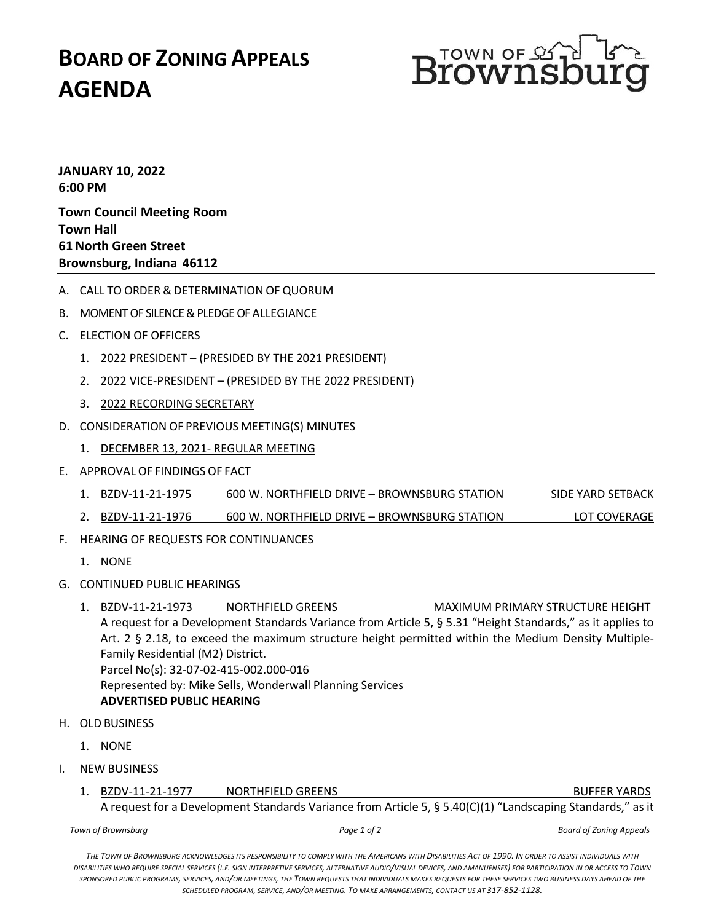## **BOARD OF ZONING APPEALS AGENDA**



**JANUARY 10, 2022 6:00 PM Town Council Meeting Room**

**Town Hall 61 North Green Street Brownsburg, Indiana 46112**

- A. CALL TO ORDER & DETERMINATION OF QUORUM
- B. MOMENT OF SILENCE& PLEDGE OF ALLEGIANCE
- C. ELECTION OF OFFICERS
	- 1. 2022 PRESIDENT (PRESIDED BY THE 2021 PRESIDENT)
	- 2. 2022 VICE-PRESIDENT (PRESIDED BY THE 2022 PRESIDENT)
	- 3. 2022 RECORDING SECRETARY
- D. CONSIDERATION OF PREVIOUS MEETING(S) MINUTES
	- 1. DECEMBER 13, 2021- REGULAR MEETING
- E. APPROVAL OF FINDINGS OF FACT
	- 1. BZDV-11-21-1975 600 W. NORTHFIELD DRIVE BROWNSBURG STATION SIDE YARD SETBACK
	- 2. BZDV-11-21-1976 600 W. NORTHFIELD DRIVE BROWNSBURG STATION LOT COVERAGE
- F. HEARING OF REQUESTS FOR CONTINUANCES
	- 1. NONE
- G. CONTINUED PUBLIC HEARINGS
	- 1. BZDV-11-21-1973 NORTHFIELD GREENS MAXIMUM PRIMARY STRUCTURE HEIGHT A request for a Development Standards Variance from Article 5, § 5.31 "Height Standards," as it applies to Art. 2 § 2.18, to exceed the maximum structure height permitted within the Medium Density Multiple-Family Residential (M2) District. Parcel No(s): 32-07-02-415-002.000-016 Represented by: Mike Sells, Wonderwall Planning Services **ADVERTISED PUBLIC HEARING**
- H. OLD BUSINESS
	- 1. NONE
- I. NEW BUSINESS
	- 1. BZDV-11-21-1977 NORTHFIELD GREENS NORTHER YARDS

A request for a Development Standards Variance from Article 5, § 5.40(C)(1) "Landscaping Standards," as it

*Town of Brownsburg Page 1 of 2 Board of Zoning Appeals*

*THE TOWN OF BROWNSBURG ACKNOWLEDGES ITS RESPONSIBILITY TO COMPLY WITH THE AMERICANS WITH DISABILITIES ACT OF 1990. IN ORDER TO ASSIST INDIVIDUALS WITH DISABILITIES WHO REQUIRE SPECIAL SERVICES (I.E. SIGN INTERPRETIVE SERVICES, ALTERNATIVE AUDIO/VISUAL DEVICES, AND AMANUENSES) FOR PARTICIPATION IN OR ACCESS TO TOWN SPONSORED PUBLIC PROGRAMS, SERVICES, AND/OR MEETINGS, THE TOWN REQUESTS THAT INDIVIDUALS MAKES REQUESTS FOR THESE SERVICES TWO BUSINESS DAYS AHEAD OF THE SCHEDULED PROGRAM, SERVICE, AND/OR MEETING. TO MAKE ARRANGEMENTS, CONTACT US AT 317-852-1128.*